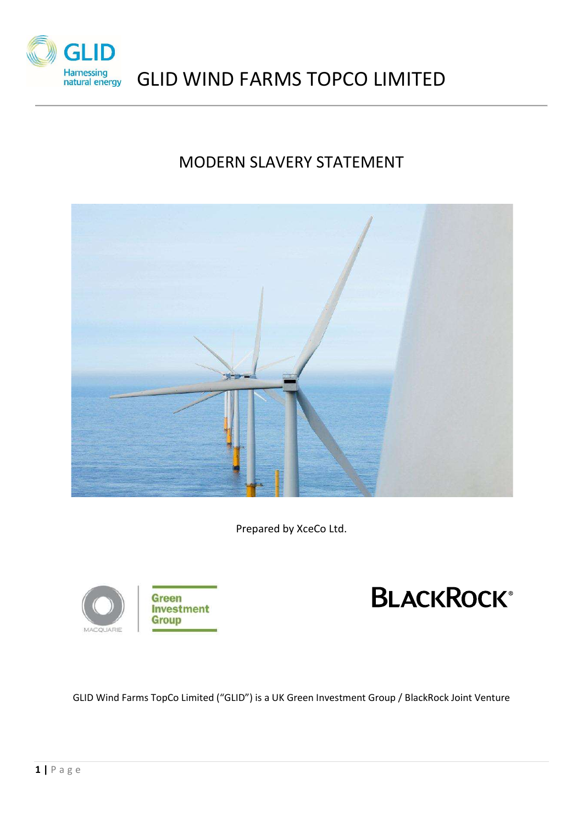

# GLID WIND FARMS TOPCO LIMITED

# MODERN SLAVERY STATEMENT



Prepared by XceCo Ltd.





GLID Wind Farms TopCo Limited ("GLID") is a UK Green Investment Group / BlackRock Joint Venture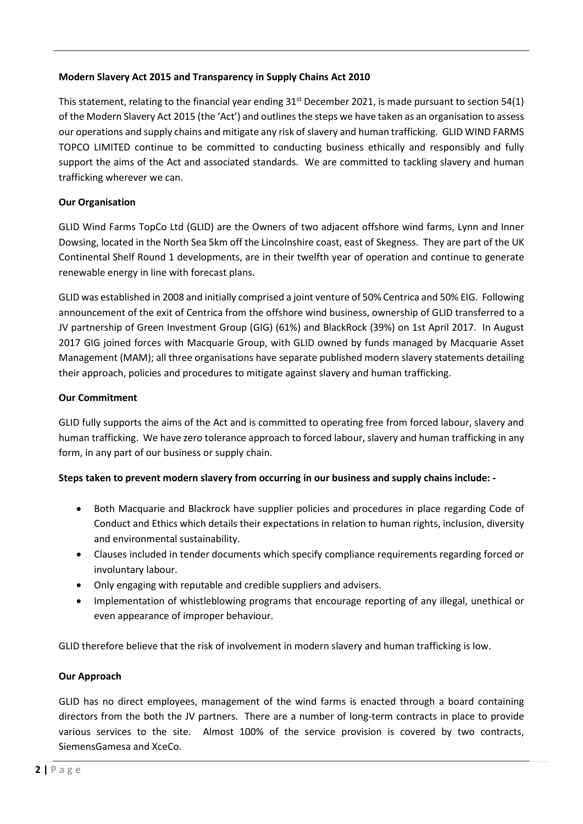## Modern Slavery Act 2015 and Transparency in Supply Chains Act 2010

This statement, relating to the financial year ending  $31<sup>st</sup>$  December 2021, is made pursuant to section 54(1) of the Modern Slavery Act 2015 (the 'Act') and outlines the steps we have taken as an organisation to assess our operations and supply chains and mitigate any risk of slavery and human trafficking. GLID WIND FARMS TOPCO LIMITED continue to be committed to conducting business ethically and responsibly and fully support the aims of the Act and associated standards. We are committed to tackling slavery and human trafficking wherever we can.

# Our Organisation

GLID Wind Farms TopCo Ltd (GLID) are the Owners of two adjacent offshore wind farms, Lynn and Inner Dowsing, located in the North Sea 5km off the Lincolnshire coast, east of Skegness. They are part of the UK Continental Shelf Round 1 developments, are in their twelfth year of operation and continue to generate renewable energy in line with forecast plans.

GLID was established in 2008 and initially comprised a joint venture of 50% Centrica and 50% EIG. Following announcement of the exit of Centrica from the offshore wind business, ownership of GLID transferred to a JV partnership of Green Investment Group (GIG) (61%) and BlackRock (39%) on 1st April 2017. In August 2017 GIG joined forces with Macquarie Group, with GLID owned by funds managed by Macquarie Asset Management (MAM); all three organisations have separate published modern slavery statements detailing their approach, policies and procedures to mitigate against slavery and human trafficking.

### Our Commitment

GLID fully supports the aims of the Act and is committed to operating free from forced labour, slavery and human trafficking. We have zero tolerance approach to forced labour, slavery and human trafficking in any form, in any part of our business or supply chain.

### Steps taken to prevent modern slavery from occurring in our business and supply chains include: -

- Both Macquarie and Blackrock have supplier policies and procedures in place regarding Code of Conduct and Ethics which details their expectations in relation to human rights, inclusion, diversity and environmental sustainability.
- Clauses included in tender documents which specify compliance requirements regarding forced or involuntary labour.
- Only engaging with reputable and credible suppliers and advisers.
- Implementation of whistleblowing programs that encourage reporting of any illegal, unethical or even appearance of improper behaviour.

GLID therefore believe that the risk of involvement in modern slavery and human trafficking is low.

### Our Approach

GLID has no direct employees, management of the wind farms is enacted through a board containing directors from the both the JV partners. There are a number of long-term contracts in place to provide various services to the site. Almost 100% of the service provision is covered by two contracts, SiemensGamesa and XceCo.